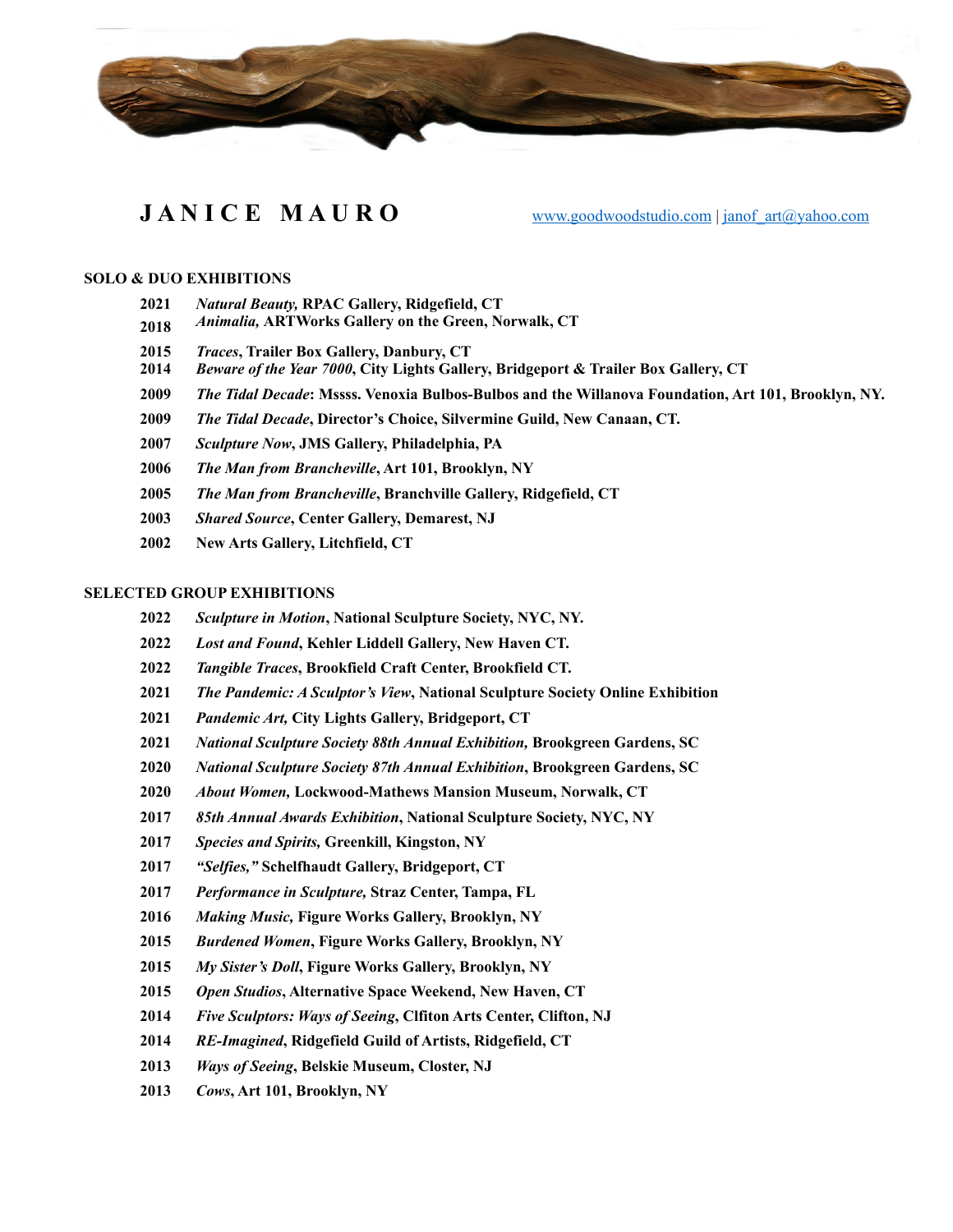

# **JANICE MAURO** [www.goodwoodstudio.com](http://www.goodwoodstudio.com) | [janof\\_art@yahoo.com](mailto:janof_art@yahoo.com)

#### **SOLO & DUO EXHIBITIONS**

- *Natural Beauty,* **RPAC Gallery, Ridgefield, CT**
- *Animalia,* **ARTWorks Gallery on the Green, Norwalk, CT**
- *Traces***, Trailer Box Gallery, Danbury, CT**
- *Beware of the Year 7000***, City Lights Gallery, Bridgeport & Trailer Box Gallery, CT**
- *The Tidal Decade***: Mssss. Venoxia Bulbos-Bulbos and the Willanova Foundation, Art 101, Brooklyn, NY.**
- *The Tidal Decade***, Director's Choice, Silvermine Guild, New Canaan, CT.**
- *Sculpture Now***, JMS Gallery, Philadelphia, PA**
- *The Man from Brancheville***, Art 101, Brooklyn, NY**
- *The Man from Brancheville***, Branchville Gallery, Ridgefield, CT**
- *Shared Source***, Center Gallery, Demarest, NJ**
- **2002 New Arts Gallery, Litchfield, CT**

## **SELECTED GROUP EXHIBITIONS**

- *Sculpture in Motion***, National Sculpture Society, NYC, NY.**
- *Lost and Found***, Kehler Liddell Gallery, New Haven CT.**
- *Tangible Traces***, Brookfield Craft Center, Brookfield CT.**
- *The Pandemic: A Sculptor's View***, National Sculpture Society Online Exhibition**
- *Pandemic Art,* **City Lights Gallery, Bridgeport, CT**
- *National Sculpture Society 88th Annual Exhibition,* **Brookgreen Gardens, SC**
- *National Sculpture Society 87th Annual Exhibition***, Brookgreen Gardens, SC**
- *About Women,* **Lockwood-Mathews Mansion Museum, Norwalk, CT**
- *85th Annual Awards Exhibition***, National Sculpture Society, NYC, NY**
- *Species and Spirits,* **Greenkill, Kingston, NY**
- *"Selfies,"* **Schelfhaudt Gallery, Bridgeport, CT**
- *Performance in Sculpture,* **Straz Center, Tampa, FL**
- *Making Music,* **Figure Works Gallery, Brooklyn, NY**
- *Burdened Women***, Figure Works Gallery, Brooklyn, NY**
- *My Sister's Doll***, Figure Works Gallery, Brooklyn, NY**
- *Open Studios***, Alternative Space Weekend, New Haven, CT**
- *Five Sculptors: Ways of Seeing***, Clfiton Arts Center, Clifton, NJ**
- *RE-Imagined***, Ridgefield Guild of Artists, Ridgefield, CT**
- *Ways of Seeing***, Belskie Museum, Closter, NJ**
- *Cows***, Art 101, Brooklyn, NY**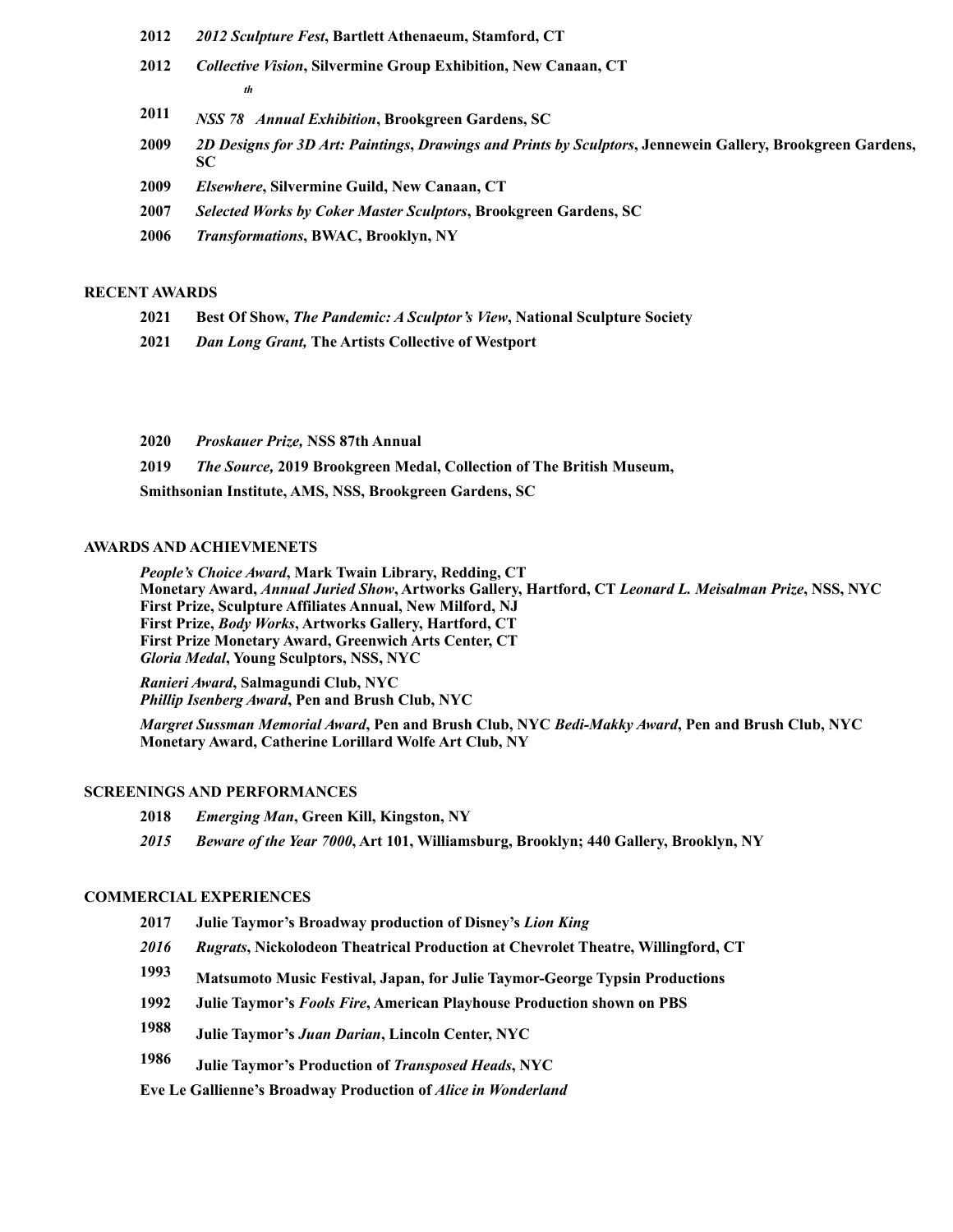- **2012** *2012 Sculpture Fest***, Bartlett Athenaeum, Stamford, CT**
- **2012** *Collective Vision***, Silvermine Group Exhibition, New Canaan, CT** *th*
- **2011** *NSS 78 Annual Exhibition***, Brookgreen Gardens, SC**
- **2009** *2D Designs for 3D Art: Paintings***,** *Drawings and Prints by Sculptors***, Jennewein Gallery, Brookgreen Gardens, SC**
- **2009** *Elsewhere***, Silvermine Guild, New Canaan, CT**
- **2007** *Selected Works by Coker Master Sculptors***, Brookgreen Gardens, SC**
- **2006** *Transformations***, BWAC, Brooklyn, NY**

## **RECENT AWARDS**

- **2021 Best Of Show,** *The Pandemic: A Sculptor's View***, National Sculpture Society**
- **2021** *Dan Long Grant,* **The Artists Collective of Westport**
- **2020** *Proskauer Prize,* **NSS 87th Annual**

**2019** *The Source,* **2019 Brookgreen Medal, Collection of The British Museum,** 

**Smithsonian Institute, AMS, NSS, Brookgreen Gardens, SC** 

## **AWARDS AND ACHIEVMENETS**

*People's Choice Award***, Mark Twain Library, Redding, CT Monetary Award,** *Annual Juried Show***, Artworks Gallery, Hartford, CT** *Leonard L. Meisalman Prize***, NSS, NYC First Prize, Sculpture Affiliates Annual, New Milford, NJ First Prize,** *Body Works***, Artworks Gallery, Hartford, CT First Prize Monetary Award, Greenwich Arts Center, CT** *Gloria Medal***, Young Sculptors, NSS, NYC** 

*Ranieri Award***, Salmagundi Club, NYC** *Phillip Isenberg Award***, Pen and Brush Club, NYC** 

*Margret Sussman Memorial Award***, Pen and Brush Club, NYC** *Bedi-Makky Award***, Pen and Brush Club, NYC Monetary Award, Catherine Lorillard Wolfe Art Club, NY** 

#### **SCREENINGS AND PERFORMANCES**

- **2018** *Emerging Man***, Green Kill, Kingston, NY**
- *2015 Beware of the Year 7000***, Art 101, Williamsburg, Brooklyn; 440 Gallery, Brooklyn, NY**

#### **COMMERCIAL EXPERIENCES**

- **2017 Julie Taymor's Broadway production of Disney's** *Lion King*
- *2016 Rugrats***, Nickolodeon Theatrical Production at Chevrolet Theatre, Willingford, CT**
- **1993 Matsumoto Music Festival, Japan, for Julie Taymor-George Typsin Productions**
- **1992 Julie Taymor's** *Fools Fire***, American Playhouse Production shown on PBS**
- **1988 Julie Taymor's** *Juan Darian***, Lincoln Center, NYC**
- **1986 Julie Taymor's Production of** *Transposed Heads***, NYC**

**Eve Le Gallienne's Broadway Production of** *Alice in Wonderland*